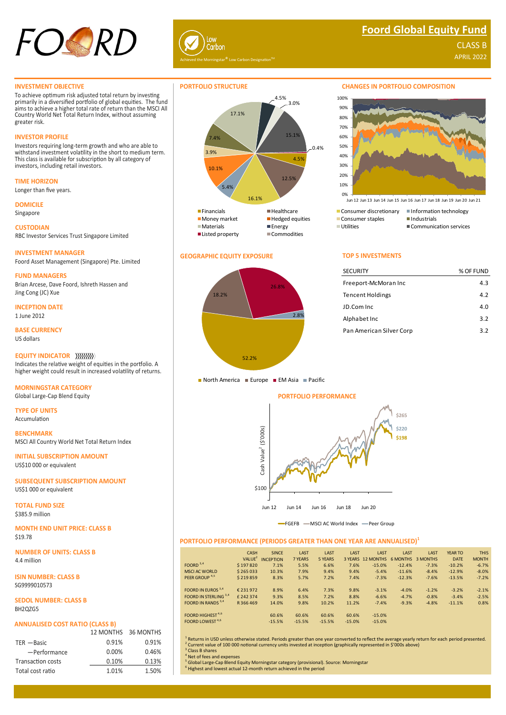



# **Foord Global Equity Fund**

APRIL 2022 CLASS B

## **INVESTMENT OBJECTIVE**

To achieve optimum risk adjusted total return by investing primarily in a diversified portfolio of global equities. The fund aims to achieve a higher total rate of return than the MSCI All Country World Net Total Return Index, without assuming greater risk.

# **INVESTOR PROFILE**

Investors requiring long-term growth and who are able to withstand investment volatility in the short to medium term. This class is available for subscription by all category of investors, including retail investors.

**TIME HORIZON** Longer than five years.

**DOMICILE**

Singapore

**CUSTODIAN** RBC Investor Services Trust Singapore Limited

**INVESTMENT MANAGER** Foord Asset Management (Singapore) Pte. Limited

**FUND MANAGERS** Brian Arcese, Dave Foord, Ishreth Hassen and Jing Cong (JC) Xue

**INCEPTION DATE** 1 June 2012

**BASE CURRENCY** US dollars

**EQUITY INDICATOR** Indicates the relative weight of equities in the portfolio. A

higher weight could result in increased volatility of returns.

**MORNINGSTAR CATEGORY** Global Large-Cap Blend Equity

**TYPE OF UNITS** Accumulation

**BENCHMARK** MSCI All Country World Net Total Return Index

**INITIAL SUBSCRIPTION AMOUNT** US\$10 000 or equivalent

**SUBSEQUENT SUBSCRIPTION AMOUNT** US\$1 000 or equivalent

**TOTAL FUND SIZE** \$385.9 million

**MONTH END UNIT PRICE: CLASS B** \$19.78

**NUMBER OF UNITS: CLASS B** 4.4 million

**ISIN NUMBER: CLASS B** SG9999010573

**SEDOL NUMBER: CLASS B BH207G5** 

# **ANNUALISED COST RATIO (CLASS B)**

|                          |          | 12 MONTHS 36 MONTHS |
|--------------------------|----------|---------------------|
| TER - Basic              | 0.91%    | 0.91%               |
| -Performance             | $0.00\%$ | 0.46%               |
| <b>Transaction costs</b> | 0.10%    | 0.13%               |
| Total cost ratio         | 1.01%    | 1.50%               |



# **GEOGRAPHIC EQUITY EXPOSURE TOP 5 INVESTMENTS**



### **CHANGES IN PORTFOLIO COMPOSITION**



Jun 12 Jun 13 Jun 14 Jun 15 Jun 16 Jun 17 Jun 18 Jun 19 Jun 20 Jun 21

Communication services

| <b>SECURITY</b>          | % OF FUND |
|--------------------------|-----------|
| Freeport-McMoran Inc     | 4.3       |
| Tencent Holdings         | 4.2       |
| JD.Com Inc               | 4.0       |
| Alphabet Inc             | 3.2       |
| Pan American Silver Corp | 3.2       |
|                          |           |

North America Europe EM Asia Pacific

### **PORTFOLIO PERFORMANCE**



FGEFB - MSCI AC World Index - Peer Group

### **PORTFOLIO PERFORMANCE (PERIODS GREATER THAN ONE YEAR ARE ANNUALISED)<sup>1</sup>**

|                              | CASH                | <b>SINCE</b>     | LAST     | LAST     | LAST     | LAST              | LAST     | LAST     | <b>YEAR TO</b> | <b>THIS</b>  |
|------------------------------|---------------------|------------------|----------|----------|----------|-------------------|----------|----------|----------------|--------------|
|                              | VALU E <sup>2</sup> | <b>INCEPTION</b> | 7 YEARS  | 5 YEARS  |          | 3 YEARS 12 MONTHS | 6 MONTHS | 3 MONTHS | <b>DATE</b>    | <b>MONTH</b> |
| FOORD $3,4$                  | \$197820            | 7.1%             | 5.5%     | 6.6%     | 7.6%     | $-15.0%$          | $-12.4%$ | $-7.3%$  | $-10.2%$       | $-6.7%$      |
| <b>MSCLAC WORLD</b>          | \$265033            | 10.3%            | 7.9%     | 9.4%     | 9.4%     | $-5.4%$           | $-11.6%$ | $-8.4%$  | $-12.9%$       | $-8.0%$      |
| PEER GROUP <sup>4,5</sup>    | \$219859            | 8.3%             | 5.7%     | 7.2%     | 7.4%     | $-7.3%$           | $-12.3%$ | $-7.6%$  | $-13.5%$       | $-7.2%$      |
|                              |                     |                  |          |          |          |                   |          |          |                |              |
| <b>FOORD IN EUROS</b> $3,4$  | € 231 972           | 8.9%             | 6.4%     | 7.3%     | 9.8%     | $-3.1%$           | $-4.0%$  | $-1.2%$  | $-3.2%$        | $-2.1%$      |
| FOORD IN STERLING 3,4        | £242374             | 9.3%             | 8.5%     | 7.2%     | 8.8%     | $-6.6%$           | $-4.7%$  | $-0.8%$  | $-3.4%$        | $-2.5%$      |
| FOORD IN RANDS 3,4           | R366469             | 14.0%            | 9.8%     | 10.2%    | 11.2%    | $-7.4%$           | $-9.3%$  | $-4.8%$  | $-11.1%$       | 0.8%         |
| FOORD HIGHEST <sup>4,6</sup> |                     |                  |          |          |          |                   |          |          |                |              |
|                              |                     | 60.6%            | 60.6%    | 60.6%    | 60.6%    | $-15.0%$          |          |          |                |              |
| FOORD LOWEST <sup>4,6</sup>  |                     | $-15.5%$         | $-15.5%$ | $-15.5%$ | $-15.0%$ | $-15.0%$          |          |          |                |              |

1 Returns in USD unless otherwise stated. Periods greater than one year converted to reflect the average yearly return for each period presented. <sup>2</sup> Current value of 100 000 notional currency units invested at inception (graphically represented in \$'000s above)<br><sup>3</sup> Class B shares

<sup>4</sup> Net of fees and expenses<br><sup>5</sup> Global Large-Cap Blend Equity Morningstar category (provisional). Source: Morningstar

<sup>6</sup> Highest and lowest actual 12-month return achieved in the period